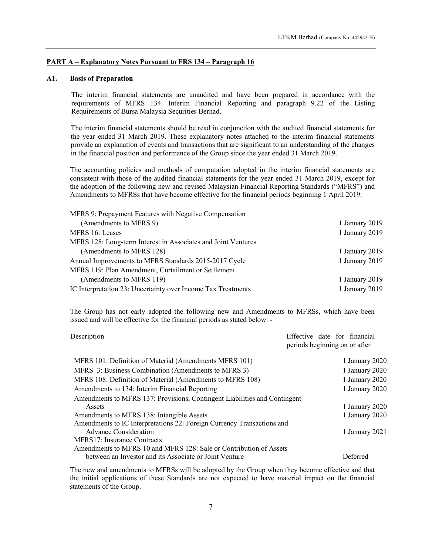## PART A – Explanatory Notes Pursuant to FRS 134 – Paragraph 16

#### A1. Basis of Preparation

The interim financial statements are unaudited and have been prepared in accordance with the requirements of MFRS 134: Interim Financial Reporting and paragraph 9.22 of the Listing Requirements of Bursa Malaysia Securities Berhad.

The interim financial statements should be read in conjunction with the audited financial statements for the year ended 31 March 2019. These explanatory notes attached to the interim financial statements provide an explanation of events and transactions that are significant to an understanding of the changes in the financial position and performance of the Group since the year ended 31 March 2019.

The accounting policies and methods of computation adopted in the interim financial statements are consistent with those of the audited financial statements for the year ended 31 March 2019, except for the adoption of the following new and revised Malaysian Financial Reporting Standards ("MFRS") and Amendments to MFRSs that have become effective for the financial periods beginning 1 April 2019:

| MFRS 9: Prepayment Features with Negative Compensation        |                |
|---------------------------------------------------------------|----------------|
| (Amendments to MFRS 9)                                        | 1 January 2019 |
| MFRS 16: Leases                                               | 1 January 2019 |
| MFRS 128: Long-term Interest in Associates and Joint Ventures |                |
| (Amendments to MFRS 128)                                      | 1 January 2019 |
| Annual Improvements to MFRS Standards 2015-2017 Cycle         | 1 January 2019 |
| MFRS 119: Plan Amendment, Curtailment or Settlement           |                |
| (Amendments to MFRS 119)                                      | 1 January 2019 |
| IC Interpretation 23: Uncertainty over Income Tax Treatments  | 1 January 2019 |

The Group has not early adopted the following new and Amendments to MFRSs, which have been issued and will be effective for the financial periods as stated below: -

| Description                                                               | Effective date for financial<br>periods beginning on or after |
|---------------------------------------------------------------------------|---------------------------------------------------------------|
| MFRS 101: Definition of Material (Amendments MFRS 101)                    | 1 January 2020                                                |
| MFRS 3: Business Combination (Amendments to MFRS 3)                       | 1 January 2020                                                |
| MFRS 108: Definition of Material (Amendments to MFRS 108)                 | 1 January 2020                                                |
| Amendments to 134: Interim Financial Reporting                            | 1 January 2020                                                |
| Amendments to MFRS 137: Provisions, Contingent Liabilities and Contingent |                                                               |
| Assets                                                                    | 1 January 2020                                                |
| Amendments to MFRS 138: Intangible Assets                                 | 1 January 2020                                                |
| Amendments to IC Interpretations 22: Foreign Currency Transactions and    |                                                               |
| <b>Advance Consideration</b>                                              | 1 January 2021                                                |
| MFRS17: Insurance Contracts                                               |                                                               |
| Amendments to MFRS 10 and MFRS 128: Sale or Contribution of Assets        |                                                               |
| between an Investor and its Associate or Joint Venture                    | Deferred                                                      |

The new and amendments to MFRSs will be adopted by the Group when they become effective and that the initial applications of these Standards are not expected to have material impact on the financial statements of the Group.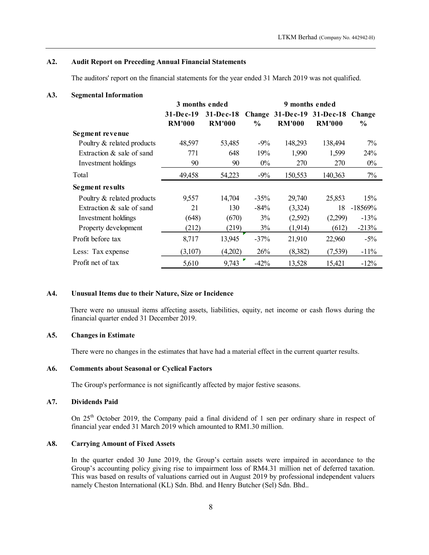## A2. Audit Report on Preceding Annual Financial Statements

#### A3. Segmental Information

|                                                                                                      |                                                |                                |               |                                                               | LTKM Berhad (Company No. 442942-H) |                         |
|------------------------------------------------------------------------------------------------------|------------------------------------------------|--------------------------------|---------------|---------------------------------------------------------------|------------------------------------|-------------------------|
| <b>Audit Report on Preceding Annual Financial Statements</b>                                         |                                                |                                |               |                                                               |                                    |                         |
| The auditors' report on the financial statements for the year ended 31 March 2019 was not qualified. |                                                |                                |               |                                                               |                                    |                         |
| <b>Segmental Information</b>                                                                         |                                                |                                |               |                                                               |                                    |                         |
|                                                                                                      | 3 months ended<br>$31-Dec-19$<br><b>RM'000</b> | $31 - Dec-18$<br><b>RM'000</b> | $\frac{0}{0}$ | 9 months ended<br>Change 31-Dec-19 31-Dec-18<br><b>RM'000</b> | <b>RM'000</b>                      | Change<br>$\frac{0}{0}$ |
| Segment revenue                                                                                      |                                                |                                |               |                                                               |                                    |                         |
| Poultry & related products                                                                           | 48,597                                         | 53,485                         | $-9%$         | 148,293                                                       | 138,494                            | 7%                      |
| Extraction & sale of sand                                                                            | 771                                            | 648                            | 19%           | 1,990                                                         | 1,599                              | 24%                     |
| Investment holdings                                                                                  | 90                                             | 90                             | $0\%$         | 270                                                           | 270                                | $0\%$                   |
| Total                                                                                                | 49,458                                         | 54,223                         | $-9%$         | 150,553                                                       | 140,363                            | $7\%$                   |
| <b>Segment results</b>                                                                               |                                                |                                |               |                                                               |                                    |                         |
|                                                                                                      |                                                |                                | $-35%$        | 29,740                                                        | 25,853                             | 15%                     |
|                                                                                                      | 9,557                                          | 14,704                         |               |                                                               |                                    |                         |
| Poultry & related products<br>Extraction & sale of sand                                              | 21                                             | 130                            | $-84%$        | (3,324)                                                       | 18                                 | $-18569%$               |
| Investment holdings                                                                                  | (648)                                          | (670)                          | 3%            | (2,592)                                                       | (2,299)                            | $-13%$                  |
| Property development                                                                                 | (212)                                          | (219)                          | 3%            | (1,914)                                                       | (612)                              | $-213%$                 |
| Profit before tax                                                                                    | 8,717                                          | 13,945                         | $-37%$        | 21,910                                                        | 22,960                             | $-5\%$                  |
| Less: Tax expense                                                                                    | (3,107)                                        | (4,202)                        | 26%           | (8,382)                                                       | (7,539)                            | $-11\%$                 |

# A4. Unusual Items due to their Nature, Size or Incidence

There were no unusual items affecting assets, liabilities, equity, net income or cash flows during the financial quarter ended 31 December 2019.

# A5. Changes in Estimate

There were no changes in the estimates that have had a material effect in the current quarter results.

## A6. Comments about Seasonal or Cyclical Factors

The Group's performance is not significantly affected by major festive seasons.

#### A7. Dividends Paid

On 25<sup>th</sup> October 2019, the Company paid a final dividend of 1 sen per ordinary share in respect of financial year ended 31 March 2019 which amounted to RM1.30 million.

## A8. Carrying Amount of Fixed Assets

In the quarter ended 30 June 2019, the Group's certain assets were impaired in accordance to the Group's accounting policy giving rise to impairment loss of RM4.31 million net of deferred taxation. This was based on results of valuations carried out in August 2019 by professional independent valuers namely Cheston International (KL) Sdn. Bhd. and Henry Butcher (Sel) Sdn. Bhd..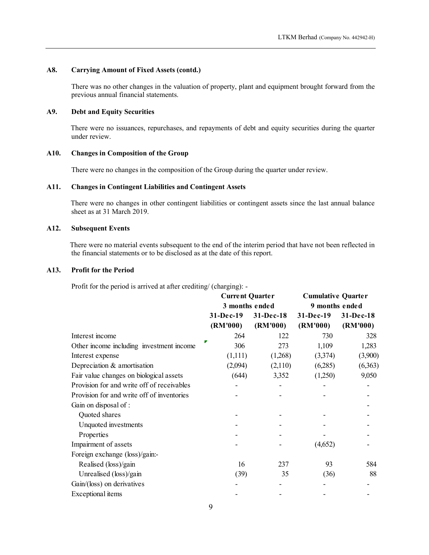# A8. Carrying Amount of Fixed Assets (contd.)

There was no other changes in the valuation of property, plant and equipment brought forward from the previous annual financial statements.

# A9. Debt and Equity Securities

There were no issuances, repurchases, and repayments of debt and equity securities during the quarter under review.

### A10. Changes in Composition of the Group

### A11. Changes in Contingent Liabilities and Contingent Assets

# A12. Subsequent Events

# A13. Profit for the Period

| under review.                                                                                                                                                                           |                                          |                       |                                             |                       |
|-----------------------------------------------------------------------------------------------------------------------------------------------------------------------------------------|------------------------------------------|-----------------------|---------------------------------------------|-----------------------|
| <b>Changes in Composition of the Group</b>                                                                                                                                              |                                          |                       |                                             |                       |
| There were no changes in the composition of the Group during the quarter under review.                                                                                                  |                                          |                       |                                             |                       |
| <b>Changes in Contingent Liabilities and Contingent Assets</b>                                                                                                                          |                                          |                       |                                             |                       |
| There were no changes in other contingent liabilities or contingent assets since the last annual balance<br>sheet as at 31 March 2019.                                                  |                                          |                       |                                             |                       |
| <b>Subsequent Events</b>                                                                                                                                                                |                                          |                       |                                             |                       |
| There were no material events subsequent to the end of the interim period that have not been reflected in<br>the financial statements or to be disclosed as at the date of this report. |                                          |                       |                                             |                       |
| <b>Profit for the Period</b>                                                                                                                                                            |                                          |                       |                                             |                       |
| Profit for the period is arrived at after crediting/ (charging): -                                                                                                                      |                                          |                       |                                             |                       |
|                                                                                                                                                                                         | <b>Current Quarter</b><br>3 months ended |                       | <b>Cumulative Quarter</b><br>9 months ended |                       |
|                                                                                                                                                                                         | 31-Dec-19<br>(RM'000)                    | 31-Dec-18<br>(RM'000) | 31-Dec-19<br>(RM'000)                       | 31-Dec-18<br>(RM'000) |
| Interest income                                                                                                                                                                         | 264                                      | 122                   | 730                                         | 328                   |
| Other income including investment income                                                                                                                                                | 306                                      | 273                   | 1,109                                       | 1,283                 |
| Interest expense                                                                                                                                                                        | (1,111)                                  | (1,268)               | (3,374)                                     | (3,900)               |
| Depreciation & amortisation                                                                                                                                                             | (2,094)                                  | (2,110)               | (6,285)                                     | (6,363)               |
| Fair value changes on biological assets                                                                                                                                                 | (644)                                    | 3,352                 | (1,250)                                     | 9,050                 |
| Provision for and write off of receivables                                                                                                                                              |                                          |                       |                                             |                       |
| Provision for and write off of inventories                                                                                                                                              |                                          |                       |                                             |                       |
| Gain on disposal of :                                                                                                                                                                   |                                          |                       |                                             |                       |
| Quoted shares                                                                                                                                                                           |                                          |                       |                                             |                       |
| Unquoted investments                                                                                                                                                                    |                                          |                       |                                             |                       |
| Properties                                                                                                                                                                              |                                          |                       |                                             |                       |
| Impairment of assets                                                                                                                                                                    |                                          |                       | (4,652)                                     |                       |
| Foreign exchange (loss)/gain:-                                                                                                                                                          |                                          |                       |                                             |                       |
| Realised (loss)/gain                                                                                                                                                                    | 16                                       | 237                   | 93                                          | 584                   |
| Unrealised (loss)/gain                                                                                                                                                                  | (39)                                     | 35                    | (36)                                        | 88                    |
| Gain/(loss) on derivatives                                                                                                                                                              |                                          |                       |                                             |                       |
| Exceptional items                                                                                                                                                                       |                                          |                       |                                             |                       |
|                                                                                                                                                                                         | $\boldsymbol{9}$                         |                       |                                             |                       |
|                                                                                                                                                                                         |                                          |                       |                                             |                       |
|                                                                                                                                                                                         |                                          |                       |                                             |                       |
|                                                                                                                                                                                         |                                          |                       |                                             |                       |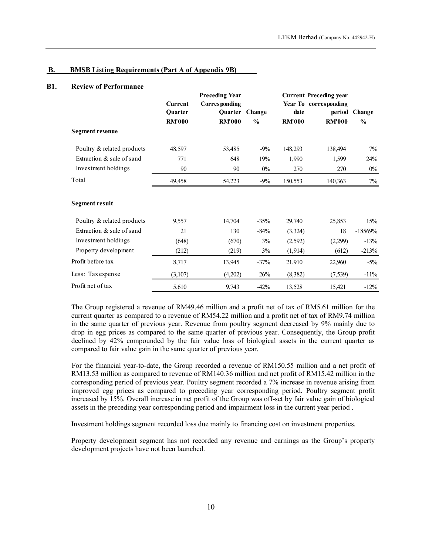#### B. BMSB Listing Requirements (Part A of Appendix 9B)

## B1. Review of Performance

|                                                          |                                     |                                                                |                                 |                       | LTKM Berhad (Company No. 442942-H)                                      |                                |
|----------------------------------------------------------|-------------------------------------|----------------------------------------------------------------|---------------------------------|-----------------------|-------------------------------------------------------------------------|--------------------------------|
| <b>BMSB Listing Requirements (Part A of Appendix 9B)</b> |                                     |                                                                |                                 |                       |                                                                         |                                |
| <b>Review of Performance</b>                             | Current<br>Quarter<br><b>RM'000</b> | <b>Preceding Year</b><br><b>Corresponding</b><br><b>RM'000</b> | Quarter Change<br>$\frac{0}{0}$ | date<br><b>RM'000</b> | <b>Current Preceding year</b><br>Year To corresponding<br><b>RM'000</b> | period Change<br>$\frac{0}{0}$ |
| <b>Segment revenue</b>                                   |                                     |                                                                |                                 |                       |                                                                         |                                |
| Poultry & related products                               | 48,597                              | 53,485                                                         | $-9%$                           | 148,293               | 138,494                                                                 | 7%                             |
| Extraction & sale of sand                                | 771                                 | 648                                                            | 19%                             | 1,990                 | 1,599                                                                   | 24%                            |
| Investment holdings                                      | 90                                  | 90                                                             | $0\%$                           | 270                   | 270                                                                     | $0\%$                          |
| Total                                                    | 49,458                              | 54,223                                                         | $-9%$                           | 150,553               | 140,363                                                                 | 7%                             |
| <b>Segment result</b>                                    |                                     |                                                                |                                 |                       |                                                                         |                                |
| Poultry & related products                               | 9,557                               | 14,704                                                         | $-35%$                          | 29,740                | 25,853                                                                  | 15%                            |
| Extraction & sale of sand                                | 21                                  | 130                                                            | $-84%$                          | (3, 324)              | 18                                                                      | $-18569%$                      |
| Investment holdings                                      | (648)                               | (670)                                                          | 3%                              | (2,592)               | (2,299)                                                                 | $-13%$                         |
| Property development                                     | (212)                               | (219)                                                          | $3\%$                           | (1,914)               | (612)                                                                   | $-213%$                        |
| Profit before tax                                        | 8,717                               | 13,945                                                         | $-37%$                          | 21,910                | 22,960                                                                  | $-5\%$                         |
| Less: Tax expense                                        | (3,107)                             | (4,202)                                                        | 26%                             | (8, 382)              | (7,539)                                                                 | $-11%$                         |
| Profit net of tax                                        | 5,610                               | 9,743                                                          | $-42%$                          | 13,528                | 15,421                                                                  | $-12%$                         |

 The Group registered a revenue of RM49.46 million and a profit net of tax of RM5.61 million for the current quarter as compared to a revenue of RM54.22 million and a profit net of tax of RM9.74 million in the same quarter of previous year. Revenue from poultry segment decreased by 9% mainly due to drop in egg prices as compared to the same quarter of previous year. Consequently, the Group profit declined by 42% compounded by the fair value loss of biological assets in the current quarter as compared to fair value gain in the same quarter of previous year.

 For the financial year-to-date, the Group recorded a revenue of RM150.55 million and a net profit of RM13.53 million as compared to revenue of RM140.36 million and net profit of RM15.42 million in the corresponding period of previous year. Poultry segment recorded a 7% increase in revenue arising from improved egg prices as compared to preceding year corresponding period. Poultry segment profit increased by 15%. Overall increase in net profit of the Group was off-set by fair value gain of biological assets in the preceding year corresponding period and impairment loss in the current year period .

Investment holdings segment recorded loss due mainly to financing cost on investment properties.

Property development segment has not recorded any revenue and earnings as the Group's property development projects have not been launched.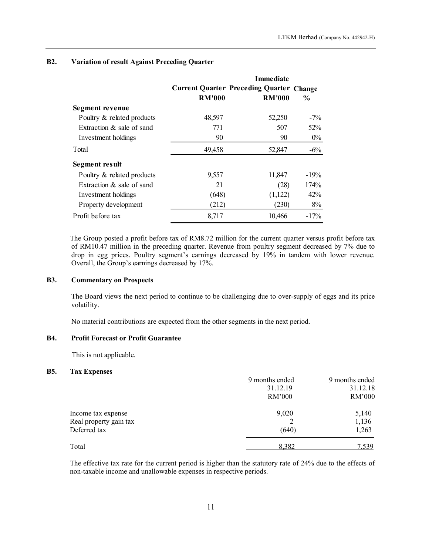|                                                      |               |                                                                  | LTKM Berhad (Company No. 442942-H) |
|------------------------------------------------------|---------------|------------------------------------------------------------------|------------------------------------|
| <b>Variation of result Against Preceding Quarter</b> |               |                                                                  |                                    |
|                                                      |               | <b>Immediate</b>                                                 |                                    |
|                                                      | <b>RM'000</b> | <b>Current Quarter Preceding Quarter Change</b><br><b>RM'000</b> | $\frac{0}{0}$                      |
| Segment revenue                                      |               |                                                                  |                                    |
| Poultry & related products                           | 48,597        | 52,250                                                           | $-7%$                              |
| Extraction & sale of sand                            | 771           | 507                                                              | 52%                                |
| Investment holdings                                  | 90            | 90                                                               | $0\%$                              |
| Total                                                | 49,458        | 52,847                                                           | $-6\%$                             |
| Segment result                                       |               |                                                                  |                                    |
| Poultry & related products                           | 9,557         | 11,847                                                           | $-19%$                             |
| Extraction & sale of sand                            | 21            | (28)                                                             | 174%                               |
| Investment holdings                                  | (648)         | (1,122)                                                          | 42%                                |
| Property development                                 | (212)         | (230)                                                            | $8\%$                              |
| Profit before tax                                    | 8,717         | 10,466                                                           | $-17%$                             |

# B2. Variation of result Against Preceding Quarter

The Group posted a profit before tax of RM8.72 million for the current quarter versus profit before tax of RM10.47 million in the preceding quarter. Revenue from poultry segment decreased by 7% due to drop in egg prices. Poultry segment's earnings decreased by 19% in tandem with lower revenue. Overall, the Group's earnings decreased by 17%.

## B3. Commentary on Prospects

The Board views the next period to continue to be challenging due to over-supply of eggs and its price volatility.

No material contributions are expected from the other segments in the next period.

# B4. Profit Forecast or Profit Guarantee

This is not applicable.

#### B5. Tax Expenses

|                        | 9 months ended | 9 months ended |
|------------------------|----------------|----------------|
|                        | 31.12.19       | 31.12.18       |
|                        | RM'000         | RM'000         |
| Income tax expense     | 9,020          | 5,140          |
| Real property gain tax |                | 1,136          |
| Deferred tax           | (640)          | 1,263          |
| Total                  | 8,382          | 7,539          |

The effective tax rate for the current period is higher than the statutory rate of 24% due to the effects of non-taxable income and unallowable expenses in respective periods.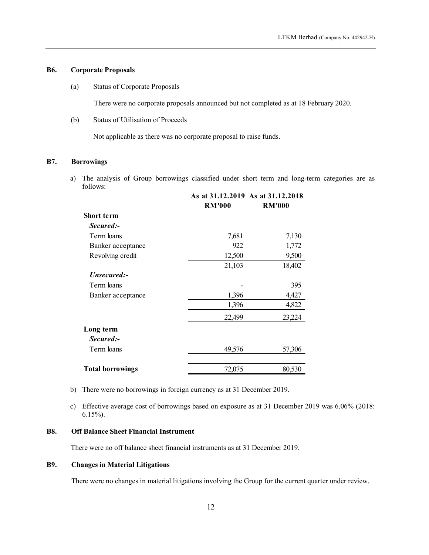# B6. Corporate Proposals

(a) Status of Corporate Proposals

(b) Status of Utilisation of Proceeds

# B7. Borrowings

|                                                                                                          |                                                                                       |               | LTKM Berhad (Company No. 442942-H) |
|----------------------------------------------------------------------------------------------------------|---------------------------------------------------------------------------------------|---------------|------------------------------------|
| porate Proposals                                                                                         |                                                                                       |               |                                    |
| <b>Status of Corporate Proposals</b>                                                                     |                                                                                       |               |                                    |
|                                                                                                          | There were no corporate proposals announced but not completed as at 18 February 2020. |               |                                    |
| Status of Utilisation of Proceeds                                                                        |                                                                                       |               |                                    |
|                                                                                                          | Not applicable as there was no corporate proposal to raise funds.                     |               |                                    |
| rowings                                                                                                  |                                                                                       |               |                                    |
| The analysis of Group borrowings classified under short term and long-term categories are as<br>follows: |                                                                                       |               |                                    |
|                                                                                                          | As at 31.12.2019 As at 31.12.2018<br><b>RM'000</b>                                    | <b>RM'000</b> |                                    |
| Short term                                                                                               |                                                                                       |               |                                    |
| Secured:-                                                                                                |                                                                                       |               |                                    |
|                                                                                                          |                                                                                       |               |                                    |
| Term loans                                                                                               | 7,681                                                                                 | 7,130         |                                    |
| Banker acceptance                                                                                        | 922                                                                                   | 1,772         |                                    |
| Revolving credit                                                                                         | 12,500                                                                                | 9,500         |                                    |
|                                                                                                          | 21,103                                                                                | 18,402        |                                    |
| Unsecured:-                                                                                              |                                                                                       |               |                                    |
| Term loans                                                                                               |                                                                                       | 395           |                                    |
| Banker acceptance                                                                                        | 1,396                                                                                 | 4,427         |                                    |
|                                                                                                          | 1,396                                                                                 | 4,822         |                                    |
|                                                                                                          | 22,499                                                                                | 23,224        |                                    |
| Long term<br>Secured:-                                                                                   |                                                                                       |               |                                    |
| Term loans                                                                                               | 49,576                                                                                | 57,306        |                                    |

b) There were no borrowings in foreign currency as at 31 December 2019.

c) Effective average cost of borrowings based on exposure as at 31 December 2019 was 6.06% (2018: 6.15%).

#### B8. Off Balance Sheet Financial Instrument

There were no off balance sheet financial instruments as at 31 December 2019.

## B9. Changes in Material Litigations

There were no changes in material litigations involving the Group for the current quarter under review.